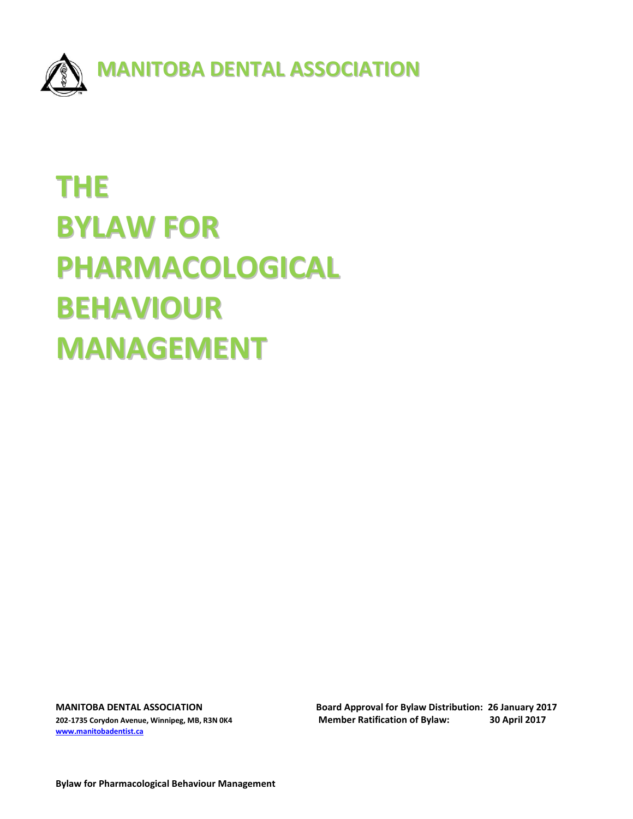

# **THE BYLAW FOR PHARMACOLOGICAL BEHAVIOUR MANAGEMENT**

**[www.manitobadentist.ca](http://www.manitobadentist.ca/)**

**MANITOBA DENTAL ASSOCIATION Board Approval for Bylaw Distribution: 26 January 2017 202-1735 Corydon Avenue, Winnipeg, MB, R3N 0K4 Member Ratification of Bylaw: 30 April 2017**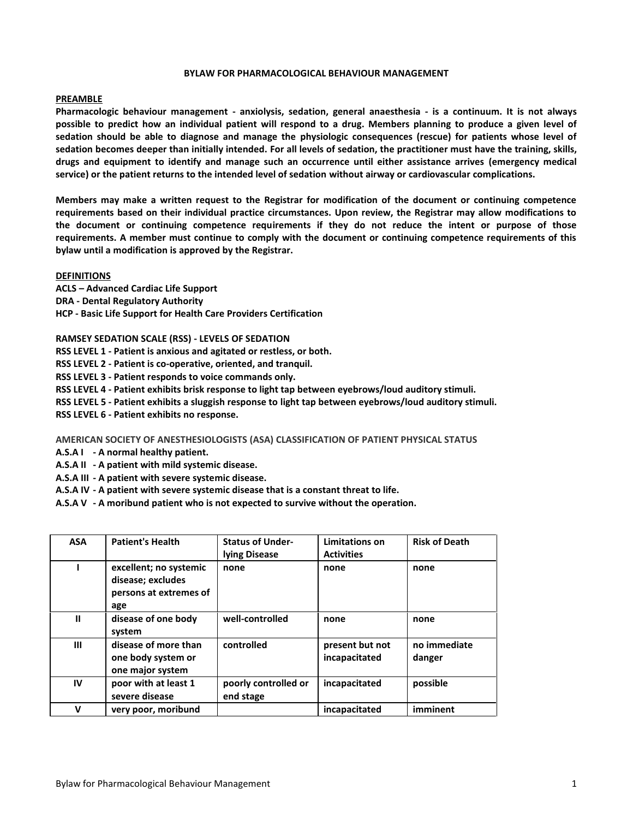#### **BYLAW FOR PHARMACOLOGICAL BEHAVIOUR MANAGEMENT**

#### **PREAMBLE**

**Pharmacologic behaviour management - anxiolysis, sedation, general anaesthesia - is a continuum. It is not always possible to predict how an individual patient will respond to a drug. Members planning to produce a given level of sedation should be able to diagnose and manage the physiologic consequences (rescue) for patients whose level of sedation becomes deeper than initially intended. For all levels of sedation, the practitioner must have the training, skills, drugs and equipment to identify and manage such an occurrence until either assistance arrives (emergency medical service) or the patient returns to the intended level of sedation without airway or cardiovascular complications.**

**Members may make a written request to the Registrar for modification of the document or continuing competence requirements based on their individual practice circumstances. Upon review, the Registrar may allow modifications to the document or continuing competence requirements if they do not reduce the intent or purpose of those requirements. A member must continue to comply with the document or continuing competence requirements of this bylaw until a modification is approved by the Registrar.**

#### **DEFINITIONS**

**ACLS – Advanced Cardiac Life Support DRA - Dental Regulatory Authority HCP - Basic Life Support for Health Care Providers Certification**

**RAMSEY SEDATION SCALE (RSS) - LEVELS OF SEDATION** 

**RSS LEVEL 1 - Patient is anxious and agitated or restless, or both.**

**RSS LEVEL 2 - Patient is co-operative, oriented, and tranquil.**

**RSS LEVEL 3 - Patient responds to voice commands only.**

**RSS LEVEL 4 - Patient exhibits brisk response to light tap between eyebrows/loud auditory stimuli.**

**RSS LEVEL 5 - Patient exhibits a sluggish response to light tap between eyebrows/loud auditory stimuli.** 

**RSS LEVEL 6 - Patient exhibits no response.**

#### **AMERICAN SOCIETY OF ANESTHESIOLOGISTS (ASA) CLASSIFICATION OF PATIENT PHYSICAL STATUS**

**A.S.A I - A normal healthy patient.**

**A.S.A II - A patient with mild systemic disease.**

**A.S.A III - A patient with severe systemic disease.**

**A.S.A IV - A patient with severe systemic disease that is a constant threat to life.**

**A.S.A V - A moribund patient who is not expected to survive without the operation.**

| <b>ASA</b> | <b>Patient's Health</b>                                                      | <b>Status of Under-</b><br>lying Disease | Limitations on<br><b>Activities</b> | <b>Risk of Death</b>   |
|------------|------------------------------------------------------------------------------|------------------------------------------|-------------------------------------|------------------------|
|            | excellent; no systemic<br>disease; excludes<br>persons at extremes of<br>age | none                                     | none                                | none                   |
| ш          | disease of one body<br>system                                                | well-controlled                          | none                                | none                   |
| Ш          | disease of more than<br>one body system or<br>one major system               | controlled                               | present but not<br>incapacitated    | no immediate<br>danger |
| IV         | poor with at least 1<br>severe disease                                       | poorly controlled or<br>end stage        | incapacitated                       | possible               |
| v          | very poor, moribund                                                          |                                          | incapacitated                       | imminent               |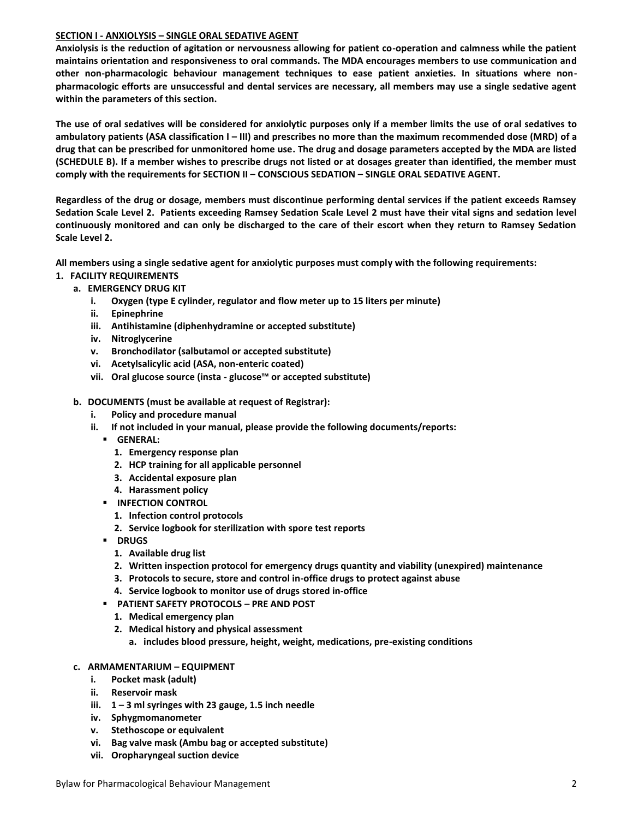# **SECTION I - ANXIOLYSIS – SINGLE ORAL SEDATIVE AGENT**

**Anxiolysis is the reduction of agitation or nervousness allowing for patient co-operation and calmness while the patient maintains orientation and responsiveness to oral commands. The MDA encourages members to use communication and other non-pharmacologic behaviour management techniques to ease patient anxieties. In situations where nonpharmacologic efforts are unsuccessful and dental services are necessary, all members may use a single sedative agent within the parameters of this section.** 

**The use of oral sedatives will be considered for anxiolytic purposes only if a member limits the use of oral sedatives to ambulatory patients (ASA classification I – III) and prescribes no more than the maximum recommended dose (MRD) of a drug that can be prescribed for unmonitored home use. The drug and dosage parameters accepted by the MDA are listed (SCHEDULE B). If a member wishes to prescribe drugs not listed or at dosages greater than identified, the member must comply with the requirements for SECTION II – CONSCIOUS SEDATION – SINGLE ORAL SEDATIVE AGENT.**

**Regardless of the drug or dosage, members must discontinue performing dental services if the patient exceeds Ramsey Sedation Scale Level 2. Patients exceeding Ramsey Sedation Scale Level 2 must have their vital signs and sedation level continuously monitored and can only be discharged to the care of their escort when they return to Ramsey Sedation Scale Level 2.**

**All members using a single sedative agent for anxiolytic purposes must comply with the following requirements:**

- **1. FACILITY REQUIREMENTS**
	- **a. EMERGENCY DRUG KIT** 
		- **i. Oxygen (type E cylinder, regulator and flow meter up to 15 liters per minute)**
		- **ii. Epinephrine**
		- **iii. Antihistamine (diphenhydramine or accepted substitute)**
		- **iv. Nitroglycerine**
		- **v. Bronchodilator (salbutamol or accepted substitute)**
		- **vi. Acetylsalicylic acid (ASA, non-enteric coated)**
		- **vii. Oral glucose source (insta - glucose™ or accepted substitute)**
		- **b. DOCUMENTS (must be available at request of Registrar):**
			- **i. Policy and procedure manual**
			- **ii. If not included in your manual, please provide the following documents/reports:**
				- **GENERAL:**
					- **1. Emergency response plan**
					- **2. HCP training for all applicable personnel**
					- **3. Accidental exposure plan**
					- **4. Harassment policy**
				- **INFECTION CONTROL** 
					- **1. Infection control protocols**
					- **2. Service logbook for sterilization with spore test reports**
				- **DRUGS**
					- **1. Available drug list**
					- **2. Written inspection protocol for emergency drugs quantity and viability (unexpired) maintenance**
					- **3. Protocols to secure, store and control in-office drugs to protect against abuse**
					- **4. Service logbook to monitor use of drugs stored in-office**
				- **PATIENT SAFETY PROTOCOLS – PRE AND POST**
					- **1. Medical emergency plan**
					- **2. Medical history and physical assessment**
						- **a. includes blood pressure, height, weight, medications, pre-existing conditions**
		- **c. ARMAMENTARIUM – EQUIPMENT**
			- **i. Pocket mask (adult)**
			- **ii. Reservoir mask**
			- **iii. 1 – 3 ml syringes with 23 gauge, 1.5 inch needle**
			- **iv. Sphygmomanometer**
			- **v. Stethoscope or equivalent**
			- **vi. Bag valve mask (Ambu bag or accepted substitute)**
			- **vii. Oropharyngeal suction device**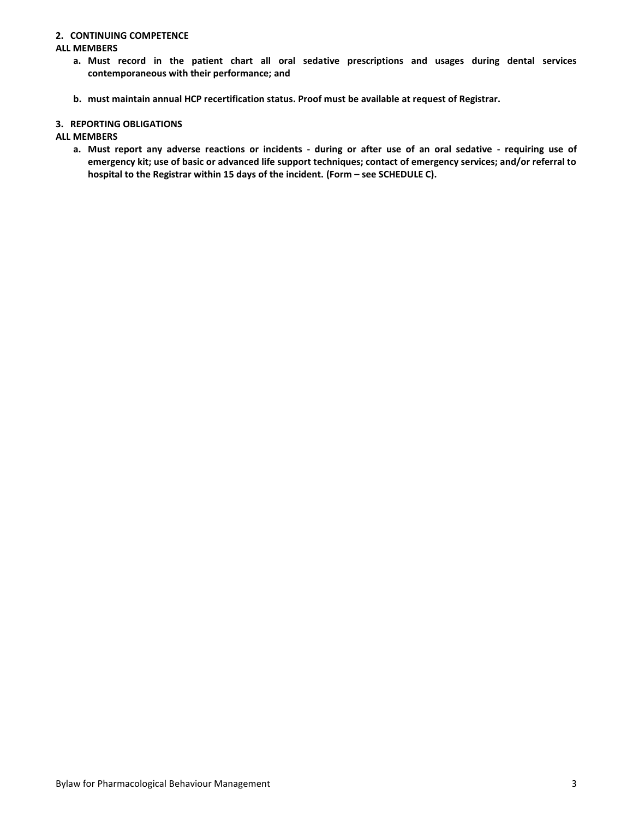#### **2. CONTINUING COMPETENCE**

#### **ALL MEMBERS**

- **a. Must record in the patient chart all oral sedative prescriptions and usages during dental services contemporaneous with their performance; and**
- **b. must maintain annual HCP recertification status. Proof must be available at request of Registrar.**

#### **3. REPORTING OBLIGATIONS**

#### **ALL MEMBERS**

**a. Must report any adverse reactions or incidents - during or after use of an oral sedative - requiring use of emergency kit; use of basic or advanced life support techniques; contact of emergency services; and/or referral to**  hospital to the Registrar within 15 days of the incident. (Form – see SCHEDULE C).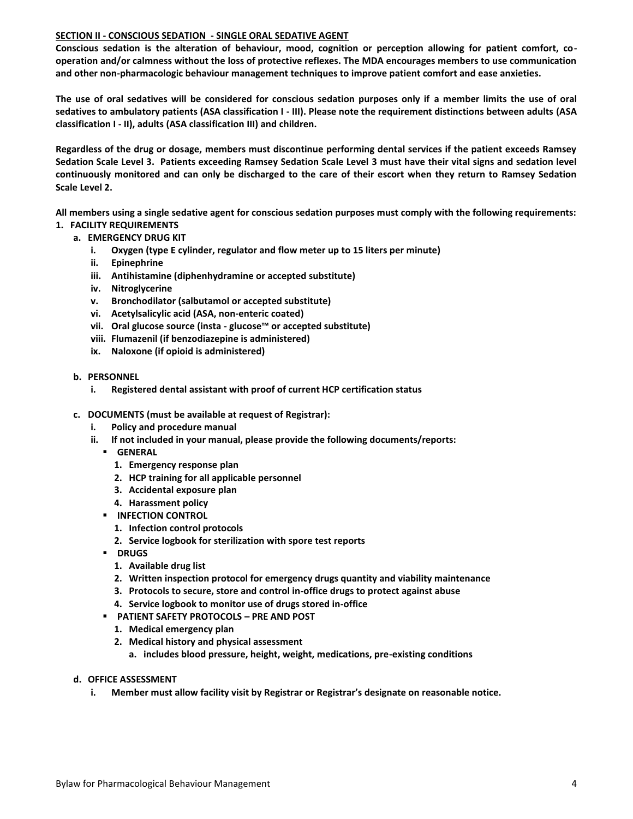## **SECTION II - CONSCIOUS SEDATION - SINGLE ORAL SEDATIVE AGENT**

**Conscious sedation is the alteration of behaviour, mood, cognition or perception allowing for patient comfort, cooperation and/or calmness without the loss of protective reflexes. The MDA encourages members to use communication and other non-pharmacologic behaviour management techniques to improve patient comfort and ease anxieties.** 

**The use of oral sedatives will be considered for conscious sedation purposes only if a member limits the use of oral sedatives to ambulatory patients (ASA classification I - III). Please note the requirement distinctions between adults (ASA classification I - II), adults (ASA classification III) and children.**

**Regardless of the drug or dosage, members must discontinue performing dental services if the patient exceeds Ramsey Sedation Scale Level 3. Patients exceeding Ramsey Sedation Scale Level 3 must have their vital signs and sedation level continuously monitored and can only be discharged to the care of their escort when they return to Ramsey Sedation Scale Level 2.**

**All members using a single sedative agent for conscious sedation purposes must comply with the following requirements:**

- **1. FACILITY REQUIREMENTS**
	- **a. EMERGENCY DRUG KIT** 
		- **i. Oxygen (type E cylinder, regulator and flow meter up to 15 liters per minute)**
		- **ii. Epinephrine**
		- **iii. Antihistamine (diphenhydramine or accepted substitute)**
		- **iv. Nitroglycerine**
		- **v. Bronchodilator (salbutamol or accepted substitute)**
		- **vi. Acetylsalicylic acid (ASA, non-enteric coated)**
		- **vii. Oral glucose source (insta - glucose™ or accepted substitute)**
		- **viii. Flumazenil (if benzodiazepine is administered)**
		- **ix. Naloxone (if opioid is administered)**
	- **b. PERSONNEL**
		- **i. Registered dental assistant with proof of current HCP certification status**
	- **c. DOCUMENTS (must be available at request of Registrar):**
		- **i. Policy and procedure manual**
		- **ii. If not included in your manual, please provide the following documents/reports:**
			- **GENERAL**
				- **1. Emergency response plan**
				- **2. HCP training for all applicable personnel**
				- **3. Accidental exposure plan**
				- **4. Harassment policy**
			- **INFECTION CONTROL** 
				- **1. Infection control protocols**
				- **2. Service logbook for sterilization with spore test reports**
			- **P** DRUGS
				- **1. Available drug list**
				- **2. Written inspection protocol for emergency drugs quantity and viability maintenance**
				- **3. Protocols to secure, store and control in-office drugs to protect against abuse**
				- **4. Service logbook to monitor use of drugs stored in-office**
			- **PATIENT SAFETY PROTOCOLS – PRE AND POST**
				- **1. Medical emergency plan**
				- **2. Medical history and physical assessment**
					- **a. includes blood pressure, height, weight, medications, pre-existing conditions**
	- **d. OFFICE ASSESSMENT**
		- **i. Member must allow facility visit by Registrar or Registrar's designate on reasonable notice.**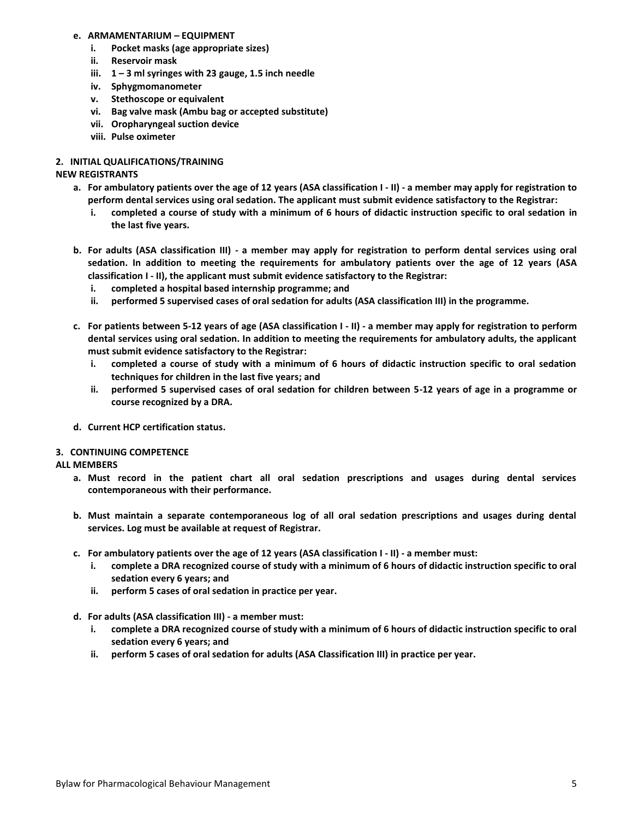## **e. ARMAMENTARIUM – EQUIPMENT**

- **i. Pocket masks (age appropriate sizes)**
- **ii. Reservoir mask**
- **iii. 1 – 3 ml syringes with 23 gauge, 1.5 inch needle**
- **iv. Sphygmomanometer**
- **v. Stethoscope or equivalent**
- **vi. Bag valve mask (Ambu bag or accepted substitute)**
- **vii. Oropharyngeal suction device**
- **viii. Pulse oximeter**

# **2. INITIAL QUALIFICATIONS/TRAINING**

# **NEW REGISTRANTS**

- **a. For ambulatory patients over the age of 12 years (ASA classification I - II) - a member may apply for registration to perform dental services using oral sedation. The applicant must submit evidence satisfactory to the Registrar:**
	- **i. completed a course of study with a minimum of 6 hours of didactic instruction specific to oral sedation in the last five years.**
- **b. For adults (ASA classification III) - a member may apply for registration to perform dental services using oral sedation. In addition to meeting the requirements for ambulatory patients over the age of 12 years (ASA classification I - II), the applicant must submit evidence satisfactory to the Registrar:**
	- **i. completed a hospital based internship programme; and**
	- **ii. performed 5 supervised cases of oral sedation for adults (ASA classification III) in the programme.**
- **c. For patients between 5-12 years of age (ASA classification I - II) - a member may apply for registration to perform dental services using oral sedation. In addition to meeting the requirements for ambulatory adults, the applicant must submit evidence satisfactory to the Registrar:**
	- **i. completed a course of study with a minimum of 6 hours of didactic instruction specific to oral sedation techniques for children in the last five years; and**
	- **ii. performed 5 supervised cases of oral sedation for children between 5-12 years of age in a programme or course recognized by a DRA.**
- **d. Current HCP certification status.**

## **3. CONTINUING COMPETENCE**

## **ALL MEMBERS**

- **a. Must record in the patient chart all oral sedation prescriptions and usages during dental services contemporaneous with their performance.**
- **b. Must maintain a separate contemporaneous log of all oral sedation prescriptions and usages during dental services. Log must be available at request of Registrar.**
- **c. For ambulatory patients over the age of 12 years (ASA classification I - II) - a member must:**
	- **i. complete a DRA recognized course of study with a minimum of 6 hours of didactic instruction specific to oral sedation every 6 years; and**
	- **ii. perform 5 cases of oral sedation in practice per year.**
- **d. For adults (ASA classification III) - a member must:**
	- **i. complete a DRA recognized course of study with a minimum of 6 hours of didactic instruction specific to oral sedation every 6 years; and**
	- **ii. perform 5 cases of oral sedation for adults (ASA Classification III) in practice per year.**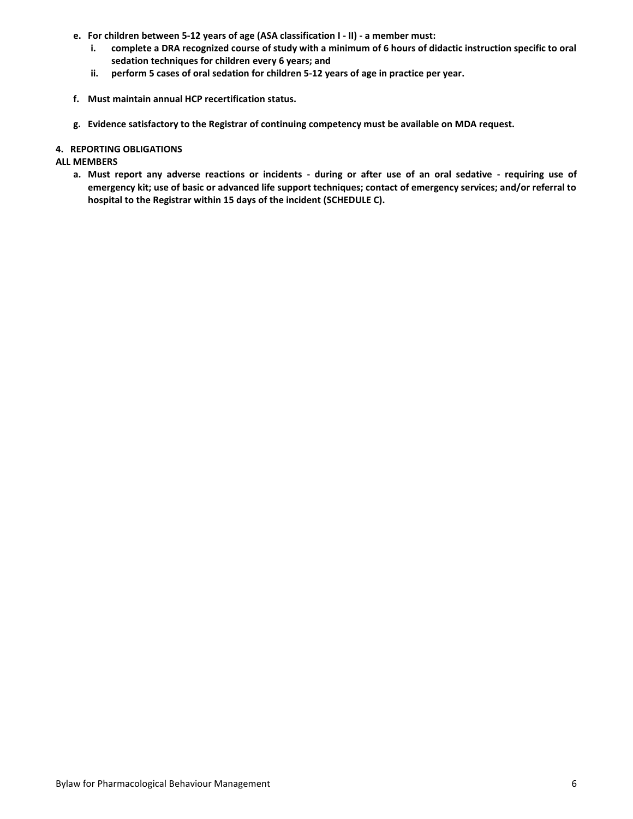- **e. For children between 5-12 years of age (ASA classification I - II) - a member must:**
	- **i. complete a DRA recognized course of study with a minimum of 6 hours of didactic instruction specific to oral sedation techniques for children every 6 years; and**
	- **ii. perform 5 cases of oral sedation for children 5-12 years of age in practice per year.**
- **f. Must maintain annual HCP recertification status.**
- **g. Evidence satisfactory to the Registrar of continuing competency must be available on MDA request.**

#### **4. REPORTING OBLIGATIONS**

#### **ALL MEMBERS**

**a. Must report any adverse reactions or incidents - during or after use of an oral sedative - requiring use of emergency kit; use of basic or advanced life support techniques; contact of emergency services; and/or referral to hospital to the Registrar within 15 days of the incident (SCHEDULE C).**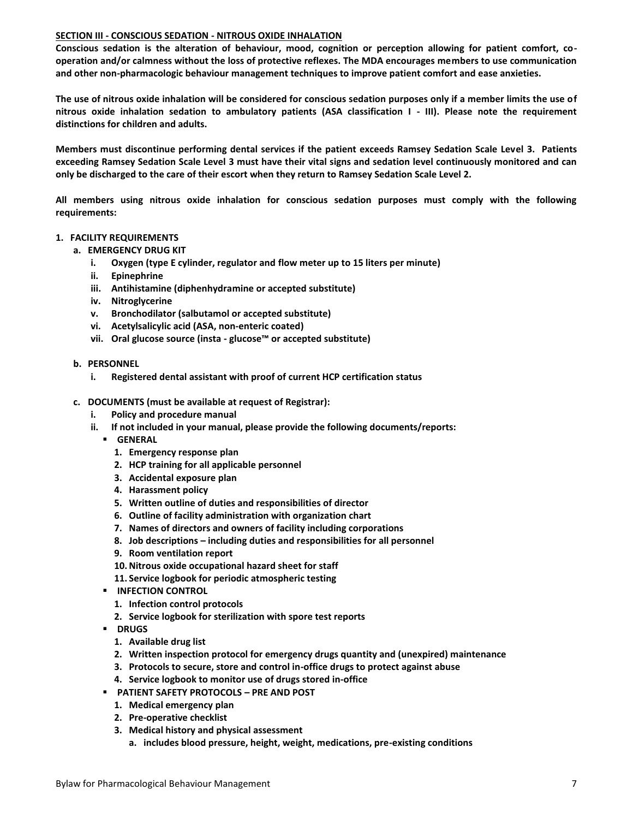#### **SECTION III - CONSCIOUS SEDATION - NITROUS OXIDE INHALATION**

**Conscious sedation is the alteration of behaviour, mood, cognition or perception allowing for patient comfort, cooperation and/or calmness without the loss of protective reflexes. The MDA encourages members to use communication and other non-pharmacologic behaviour management techniques to improve patient comfort and ease anxieties.** 

**The use of nitrous oxide inhalation will be considered for conscious sedation purposes only if a member limits the use of nitrous oxide inhalation sedation to ambulatory patients (ASA classification I - III). Please note the requirement distinctions for children and adults.**

**Members must discontinue performing dental services if the patient exceeds Ramsey Sedation Scale Level 3. Patients exceeding Ramsey Sedation Scale Level 3 must have their vital signs and sedation level continuously monitored and can only be discharged to the care of their escort when they return to Ramsey Sedation Scale Level 2.**

**All members using nitrous oxide inhalation for conscious sedation purposes must comply with the following requirements:**

#### **1. FACILITY REQUIREMENTS**

- **a. EMERGENCY DRUG KIT** 
	- **i. Oxygen (type E cylinder, regulator and flow meter up to 15 liters per minute)**
	- **ii. Epinephrine**
	- **iii. Antihistamine (diphenhydramine or accepted substitute)**
	- **iv. Nitroglycerine**
	- **v. Bronchodilator (salbutamol or accepted substitute)**
	- **vi. Acetylsalicylic acid (ASA, non-enteric coated)**
	- **vii. Oral glucose source (insta - glucose™ or accepted substitute)**
- **b. PERSONNEL**
	- **i. Registered dental assistant with proof of current HCP certification status**
- **c. DOCUMENTS (must be available at request of Registrar):**
	- **i. Policy and procedure manual**
	- **ii. If not included in your manual, please provide the following documents/reports:**
		- **GENERAL**
			- **1. Emergency response plan**
			- **2. HCP training for all applicable personnel**
			- **3. Accidental exposure plan**
			- **4. Harassment policy**
			- **5. Written outline of duties and responsibilities of director**
			- **6. Outline of facility administration with organization chart**
			- **7. Names of directors and owners of facility including corporations**
			- **8. Job descriptions – including duties and responsibilities for all personnel**
			- **9. Room ventilation report**
			- **10.Nitrous oxide occupational hazard sheet for staff**
			- **11. Service logbook for periodic atmospheric testing**
		- **INFECTION CONTROL** 
			- **1. Infection control protocols**
			- **2. Service logbook for sterilization with spore test reports**
		- **P** DRUGS
			- **1. Available drug list**
			- **2. Written inspection protocol for emergency drugs quantity and (unexpired) maintenance**
			- **3. Protocols to secure, store and control in-office drugs to protect against abuse**
			- **4. Service logbook to monitor use of drugs stored in-office**
		- **PATIENT SAFETY PROTOCOLS – PRE AND POST**
			- **1. Medical emergency plan**
			- **2. Pre-operative checklist**
			- **3. Medical history and physical assessment**
				- **a. includes blood pressure, height, weight, medications, pre-existing conditions**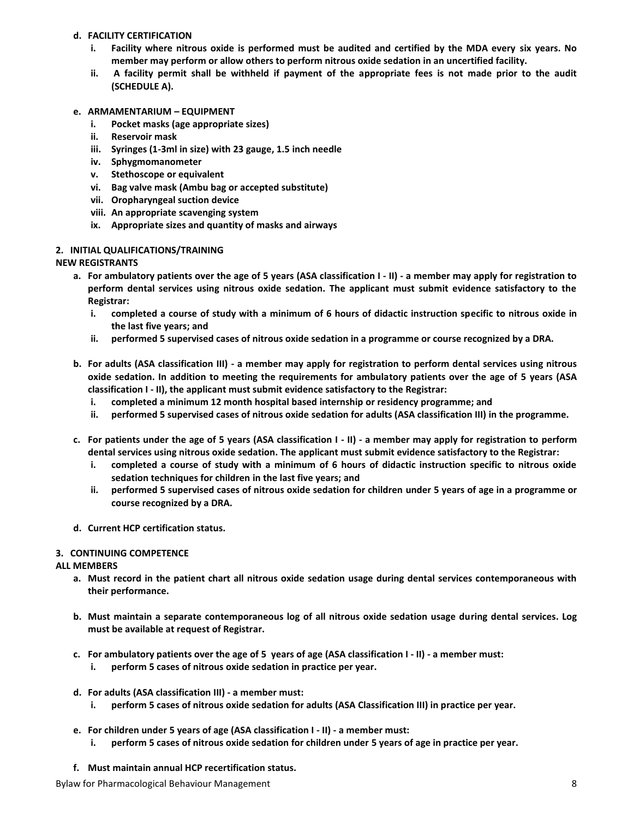# **d. FACILITY CERTIFICATION**

- **i. Facility where nitrous oxide is performed must be audited and certified by the MDA every six years. No member may perform or allow others to perform nitrous oxide sedation in an uncertified facility.**
- **ii. A facility permit shall be withheld if payment of the appropriate fees is not made prior to the audit (SCHEDULE A).**
- **e. ARMAMENTARIUM – EQUIPMENT**
	- **i. Pocket masks (age appropriate sizes)**
	- **ii. Reservoir mask**
	- **iii. Syringes (1-3ml in size) with 23 gauge, 1.5 inch needle**
	- **iv. Sphygmomanometer**
	- **v. Stethoscope or equivalent**
	- **vi. Bag valve mask (Ambu bag or accepted substitute)**
	- **vii. Oropharyngeal suction device**
	- **viii. An appropriate scavenging system**
	- **ix. Appropriate sizes and quantity of masks and airways**

# **2. INITIAL QUALIFICATIONS/TRAINING**

# **NEW REGISTRANTS**

- **a. For ambulatory patients over the age of 5 years (ASA classification I - II) - a member may apply for registration to perform dental services using nitrous oxide sedation. The applicant must submit evidence satisfactory to the Registrar:**
	- **i. completed a course of study with a minimum of 6 hours of didactic instruction specific to nitrous oxide in the last five years; and**
	- **ii. performed 5 supervised cases of nitrous oxide sedation in a programme or course recognized by a DRA.**
- **b. For adults (ASA classification III) - a member may apply for registration to perform dental services using nitrous oxide sedation. In addition to meeting the requirements for ambulatory patients over the age of 5 years (ASA classification I - II), the applicant must submit evidence satisfactory to the Registrar:**
	- **i. completed a minimum 12 month hospital based internship or residency programme; and**
	- **ii. performed 5 supervised cases of nitrous oxide sedation for adults (ASA classification III) in the programme.**
- **c. For patients under the age of 5 years (ASA classification I - II) - a member may apply for registration to perform dental services using nitrous oxide sedation. The applicant must submit evidence satisfactory to the Registrar:**
	- **i. completed a course of study with a minimum of 6 hours of didactic instruction specific to nitrous oxide sedation techniques for children in the last five years; and**
	- **ii. performed 5 supervised cases of nitrous oxide sedation for children under 5 years of age in a programme or course recognized by a DRA.**
- **d. Current HCP certification status.**

# **3. CONTINUING COMPETENCE**

## **ALL MEMBERS**

- **a. Must record in the patient chart all nitrous oxide sedation usage during dental services contemporaneous with their performance.**
- **b. Must maintain a separate contemporaneous log of all nitrous oxide sedation usage during dental services. Log must be available at request of Registrar.**
- **c. For ambulatory patients over the age of 5 years of age (ASA classification I - II) - a member must:**
	- **i. perform 5 cases of nitrous oxide sedation in practice per year.**
- **d. For adults (ASA classification III) - a member must:**
	- **i. perform 5 cases of nitrous oxide sedation for adults (ASA Classification III) in practice per year.**
- **e. For children under 5 years of age (ASA classification I - II) - a member must:**
	- **i. perform 5 cases of nitrous oxide sedation for children under 5 years of age in practice per year.**
- **f. Must maintain annual HCP recertification status.**

Bylaw for Pharmacological Behaviour Management 8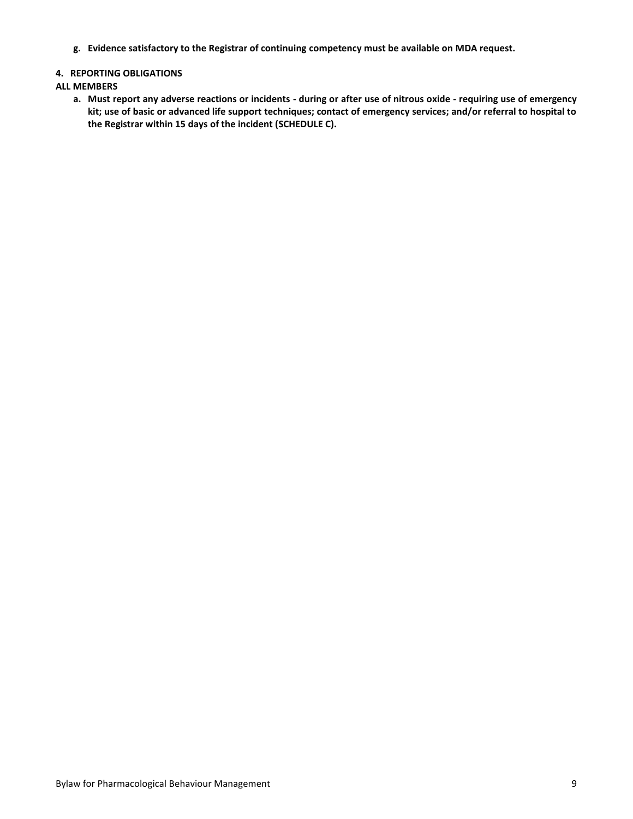**g. Evidence satisfactory to the Registrar of continuing competency must be available on MDA request.**

## **4. REPORTING OBLIGATIONS**

#### **ALL MEMBERS**

**a. Must report any adverse reactions or incidents - during or after use of nitrous oxide - requiring use of emergency kit; use of basic or advanced life support techniques; contact of emergency services; and/or referral to hospital to the Registrar within 15 days of the incident (SCHEDULE C).**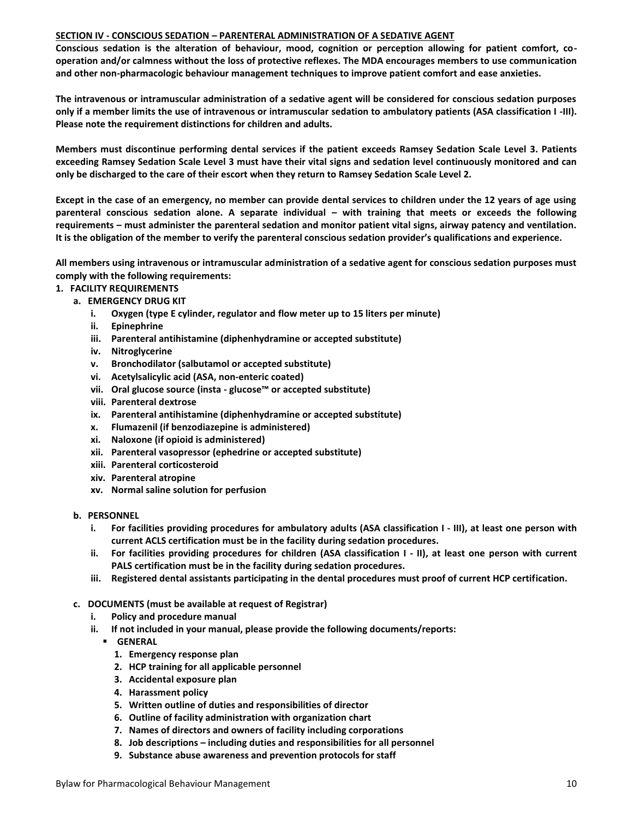#### **SECTION IV - CONSCIOUS SEDATION – PARENTERAL ADMINISTRATION OF A SEDATIVE AGENT**

**Conscious sedation is the alteration of behaviour, mood, cognition or perception allowing for patient comfort, cooperation and/or calmness without the loss of protective reflexes. The MDA encourages members to use communication and other non-pharmacologic behaviour management techniques to improve patient comfort and ease anxieties.** 

**The intravenous or intramuscular administration of a sedative agent will be considered for conscious sedation purposes only if a member limits the use of intravenous or intramuscular sedation to ambulatory patients (ASA classification I -III). Please note the requirement distinctions for children and adults.**

**Members must discontinue performing dental services if the patient exceeds Ramsey Sedation Scale Level 3. Patients exceeding Ramsey Sedation Scale Level 3 must have their vital signs and sedation level continuously monitored and can only be discharged to the care of their escort when they return to Ramsey Sedation Scale Level 2.**

**Except in the case of an emergency, no member can provide dental services to children under the 12 years of age using parenteral conscious sedation alone. A separate individual – with training that meets or exceeds the following requirements – must administer the parenteral sedation and monitor patient vital signs, airway patency and ventilation. It is the obligation of the member to verify the parenteral conscious sedation provider's qualifications and experience.**

**All members using intravenous or intramuscular administration of a sedative agent for conscious sedation purposes must comply with the following requirements:**

- **1. FACILITY REQUIREMENTS**
	- **a. EMERGENCY DRUG KIT** 
		- **i. Oxygen (type E cylinder, regulator and flow meter up to 15 liters per minute)**
		- **ii. Epinephrine**
		- **iii. Parenteral antihistamine (diphenhydramine or accepted substitute)**
		- **iv. Nitroglycerine**
		- **v. Bronchodilator (salbutamol or accepted substitute)**
		- **vi. Acetylsalicylic acid (ASA, non-enteric coated)**
		- **vii. Oral glucose source (insta - glucose™ or accepted substitute)**
		- **viii. Parenteral dextrose**
		- **ix. Parenteral antihistamine (diphenhydramine or accepted substitute)**
		- **x. Flumazenil (if benzodiazepine is administered)**
		- **xi. Naloxone (if opioid is administered)**
		- **xii. Parenteral vasopressor (ephedrine or accepted substitute)**
		- **xiii. Parenteral corticosteroid**
		- **xiv. Parenteral atropine**
		- **xv. Normal saline solution for perfusion**
	- **b. PERSONNEL**
		- **i. For facilities providing procedures for ambulatory adults (ASA classification I - III), at least one person with current ACLS certification must be in the facility during sedation procedures.**
		- **ii. For facilities providing procedures for children (ASA classification I - II), at least one person with current PALS certification must be in the facility during sedation procedures.**
		- **iii. Registered dental assistants participating in the dental procedures must proof of current HCP certification.**
	- **c. DOCUMENTS (must be available at request of Registrar)**
		- **i. Policy and procedure manual**
		- **ii. If not included in your manual, please provide the following documents/reports:**
			- **GENERAL**
				- **1. Emergency response plan**
				- **2. HCP training for all applicable personnel**
				- **3. Accidental exposure plan**
				- **4. Harassment policy**
				- **5. Written outline of duties and responsibilities of director**
				- **6. Outline of facility administration with organization chart**
				- **7. Names of directors and owners of facility including corporations**
				- **8. Job descriptions – including duties and responsibilities for all personnel**
				- **9. Substance abuse awareness and prevention protocols for staff**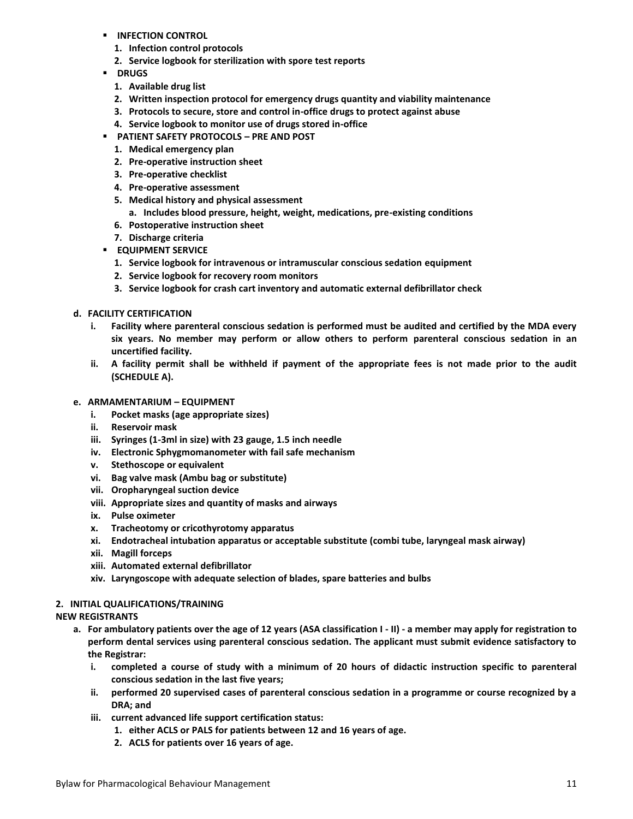- **INFECTION CONTROL** 
	- **1. Infection control protocols**
	- **2. Service logbook for sterilization with spore test reports**
- **P** DRUGS
	- **1. Available drug list**
	- **2. Written inspection protocol for emergency drugs quantity and viability maintenance**
	- **3. Protocols to secure, store and control in-office drugs to protect against abuse**
	- **4. Service logbook to monitor use of drugs stored in-office**
- **PATIENT SAFETY PROTOCOLS – PRE AND POST**
	- **1. Medical emergency plan**
	- **2. Pre-operative instruction sheet**
	- **3. Pre-operative checklist**
	- **4. Pre-operative assessment**
	- **5. Medical history and physical assessment**
		- **a. Includes blood pressure, height, weight, medications, pre-existing conditions**
	- **6. Postoperative instruction sheet**
- **7. Discharge criteria**
- **EQUIPMENT SERVICE** 
	- **1. Service logbook for intravenous or intramuscular conscious sedation equipment**
	- **2. Service logbook for recovery room monitors**
	- **3. Service logbook for crash cart inventory and automatic external defibrillator check**
- **d. FACILITY CERTIFICATION**
	- **i. Facility where parenteral conscious sedation is performed must be audited and certified by the MDA every six years. No member may perform or allow others to perform parenteral conscious sedation in an uncertified facility.**
	- **ii. A facility permit shall be withheld if payment of the appropriate fees is not made prior to the audit (SCHEDULE A).**
- **e. ARMAMENTARIUM – EQUIPMENT**
	- **i. Pocket masks (age appropriate sizes)**
	- **ii. Reservoir mask**
	- **iii. Syringes (1-3ml in size) with 23 gauge, 1.5 inch needle**
	- **iv. Electronic Sphygmomanometer with fail safe mechanism**
	- **v. Stethoscope or equivalent**
	- **vi. Bag valve mask (Ambu bag or substitute)**
	- **vii. Oropharyngeal suction device**
	- **viii. Appropriate sizes and quantity of masks and airways**
	- **ix. Pulse oximeter**
	- **x. Tracheotomy or cricothyrotomy apparatus**
	- **xi. Endotracheal intubation apparatus or acceptable substitute (combi tube, laryngeal mask airway)**
	- **xii. Magill forceps**
	- **xiii. Automated external defibrillator**
	- **xiv. Laryngoscope with adequate selection of blades, spare batteries and bulbs**

## **2. INITIAL QUALIFICATIONS/TRAINING**

## **NEW REGISTRANTS**

- **a. For ambulatory patients over the age of 12 years (ASA classification I - II) - a member may apply for registration to perform dental services using parenteral conscious sedation. The applicant must submit evidence satisfactory to the Registrar:**
	- **i. completed a course of study with a minimum of 20 hours of didactic instruction specific to parenteral conscious sedation in the last five years;**
	- **ii. performed 20 supervised cases of parenteral conscious sedation in a programme or course recognized by a DRA; and**
	- **iii. current advanced life support certification status:**
		- **1. either ACLS or PALS for patients between 12 and 16 years of age.**
		- **2. ACLS for patients over 16 years of age.**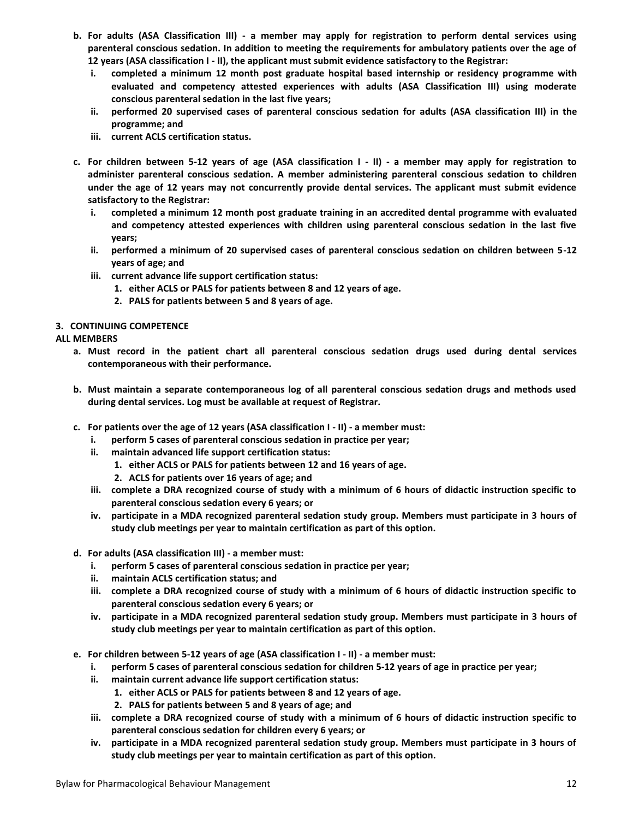- **b. For adults (ASA Classification III) - a member may apply for registration to perform dental services using parenteral conscious sedation. In addition to meeting the requirements for ambulatory patients over the age of 12 years (ASA classification I - II), the applicant must submit evidence satisfactory to the Registrar:**
	- **i. completed a minimum 12 month post graduate hospital based internship or residency programme with evaluated and competency attested experiences with adults (ASA Classification III) using moderate conscious parenteral sedation in the last five years;**
	- **ii. performed 20 supervised cases of parenteral conscious sedation for adults (ASA classification III) in the programme; and**
	- **iii. current ACLS certification status.**
- **c. For children between 5-12 years of age (ASA classification I - II) - a member may apply for registration to administer parenteral conscious sedation. A member administering parenteral conscious sedation to children under the age of 12 years may not concurrently provide dental services. The applicant must submit evidence satisfactory to the Registrar:**
	- **i. completed a minimum 12 month post graduate training in an accredited dental programme with evaluated and competency attested experiences with children using parenteral conscious sedation in the last five years;**
	- **ii. performed a minimum of 20 supervised cases of parenteral conscious sedation on children between 5-12 years of age; and**
	- **iii. current advance life support certification status:**
		- **1. either ACLS or PALS for patients between 8 and 12 years of age.**
		- **2. PALS for patients between 5 and 8 years of age.**

## **3. CONTINUING COMPETENCE**

## **ALL MEMBERS**

- **a. Must record in the patient chart all parenteral conscious sedation drugs used during dental services contemporaneous with their performance.**
- **b. Must maintain a separate contemporaneous log of all parenteral conscious sedation drugs and methods used during dental services. Log must be available at request of Registrar.**
- **c. For patients over the age of 12 years (ASA classification I - II) - a member must:**
	- **i. perform 5 cases of parenteral conscious sedation in practice per year;**
	- **ii. maintain advanced life support certification status:**
		- **1. either ACLS or PALS for patients between 12 and 16 years of age.**
		- **2. ACLS for patients over 16 years of age; and**
	- **iii. complete a DRA recognized course of study with a minimum of 6 hours of didactic instruction specific to parenteral conscious sedation every 6 years; or**
	- **iv. participate in a MDA recognized parenteral sedation study group. Members must participate in 3 hours of study club meetings per year to maintain certification as part of this option.**
- **d. For adults (ASA classification III) - a member must:**
	- **i. perform 5 cases of parenteral conscious sedation in practice per year;**
	- **ii. maintain ACLS certification status; and**
	- **iii. complete a DRA recognized course of study with a minimum of 6 hours of didactic instruction specific to parenteral conscious sedation every 6 years; or**
	- **iv. participate in a MDA recognized parenteral sedation study group. Members must participate in 3 hours of study club meetings per year to maintain certification as part of this option.**
- **e. For children between 5-12 years of age (ASA classification I - II) - a member must:**
	- **i. perform 5 cases of parenteral conscious sedation for children 5-12 years of age in practice per year;**
	- **ii. maintain current advance life support certification status:**
		- **1. either ACLS or PALS for patients between 8 and 12 years of age.**
		- **2. PALS for patients between 5 and 8 years of age; and**
	- **iii. complete a DRA recognized course of study with a minimum of 6 hours of didactic instruction specific to parenteral conscious sedation for children every 6 years; or**
	- **iv. participate in a MDA recognized parenteral sedation study group. Members must participate in 3 hours of study club meetings per year to maintain certification as part of this option.**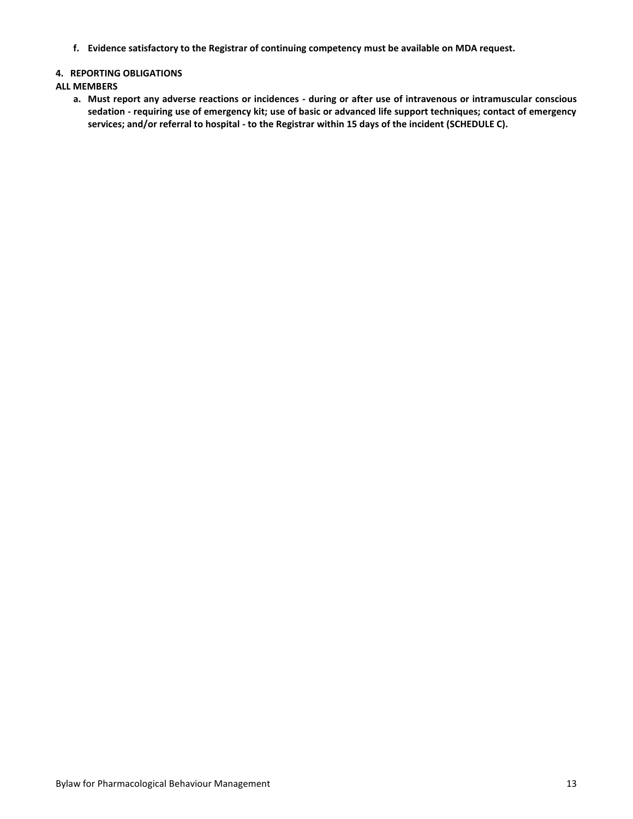**f. Evidence satisfactory to the Registrar of continuing competency must be available on MDA request.**

## **4. REPORTING OBLIGATIONS**

# **ALL MEMBERS**

**a. Must report any adverse reactions or incidences - during or after use of intravenous or intramuscular conscious sedation - requiring use of emergency kit; use of basic or advanced life support techniques; contact of emergency services; and/or referral to hospital - to the Registrar within 15 days of the incident (SCHEDULE C).**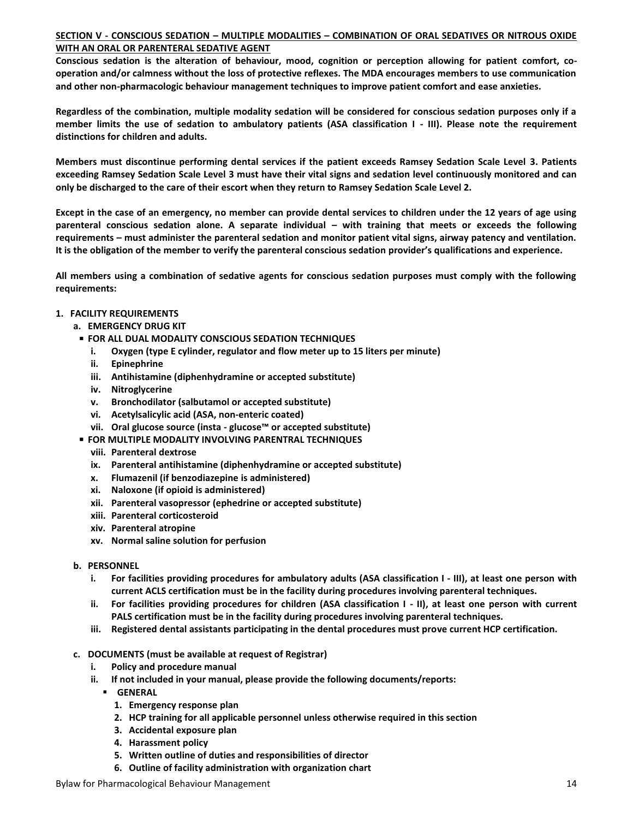#### **SECTION V - CONSCIOUS SEDATION – MULTIPLE MODALITIES – COMBINATION OF ORAL SEDATIVES OR NITROUS OXIDE WITH AN ORAL OR PARENTERAL SEDATIVE AGENT**

**Conscious sedation is the alteration of behaviour, mood, cognition or perception allowing for patient comfort, cooperation and/or calmness without the loss of protective reflexes. The MDA encourages members to use communication and other non-pharmacologic behaviour management techniques to improve patient comfort and ease anxieties.** 

**Regardless of the combination, multiple modality sedation will be considered for conscious sedation purposes only if a member limits the use of sedation to ambulatory patients (ASA classification I - III). Please note the requirement distinctions for children and adults.**

**Members must discontinue performing dental services if the patient exceeds Ramsey Sedation Scale Level 3. Patients exceeding Ramsey Sedation Scale Level 3 must have their vital signs and sedation level continuously monitored and can only be discharged to the care of their escort when they return to Ramsey Sedation Scale Level 2.**

**Except in the case of an emergency, no member can provide dental services to children under the 12 years of age using parenteral conscious sedation alone. A separate individual – with training that meets or exceeds the following requirements – must administer the parenteral sedation and monitor patient vital signs, airway patency and ventilation. It is the obligation of the member to verify the parenteral conscious sedation provider's qualifications and experience.**

**All members using a combination of sedative agents for conscious sedation purposes must comply with the following requirements:**

# **1. FACILITY REQUIREMENTS**

# **a. EMERGENCY DRUG KIT**

- **FOR ALL DUAL MODALITY CONSCIOUS SEDATION TECHNIQUES**
	- **i. Oxygen (type E cylinder, regulator and flow meter up to 15 liters per minute)**
	- **ii. Epinephrine**
	- **iii. Antihistamine (diphenhydramine or accepted substitute)**
	- **iv. Nitroglycerine**
	- **v. Bronchodilator (salbutamol or accepted substitute)**
	- **vi. Acetylsalicylic acid (ASA, non-enteric coated)**
	- **vii. Oral glucose source (insta - glucose™ or accepted substitute)**
- **FOR MULTIPLE MODALITY INVOLVING PARENTRAL TECHNIQUES**
	- **viii. Parenteral dextrose**
	- **ix. Parenteral antihistamine (diphenhydramine or accepted substitute)**
	- **x. Flumazenil (if benzodiazepine is administered)**
	- **xi. Naloxone (if opioid is administered)**
	- **xii. Parenteral vasopressor (ephedrine or accepted substitute)**
	- **xiii. Parenteral corticosteroid**
	- **xiv. Parenteral atropine**
	- **xv. Normal saline solution for perfusion**
- **b. PERSONNEL**
	- **i. For facilities providing procedures for ambulatory adults (ASA classification I - III), at least one person with current ACLS certification must be in the facility during procedures involving parenteral techniques.**
	- **ii. For facilities providing procedures for children (ASA classification I - II), at least one person with current PALS certification must be in the facility during procedures involving parenteral techniques.**
	- **iii. Registered dental assistants participating in the dental procedures must prove current HCP certification.**
- **c. DOCUMENTS (must be available at request of Registrar)**
	- **i. Policy and procedure manual**
	- **ii. If not included in your manual, please provide the following documents/reports:**
		- **GENERAL**
			- **1. Emergency response plan**
			- **2. HCP training for all applicable personnel unless otherwise required in this section**
			- **3. Accidental exposure plan**
			- **4. Harassment policy**
			- **5. Written outline of duties and responsibilities of director**
			- **6. Outline of facility administration with organization chart**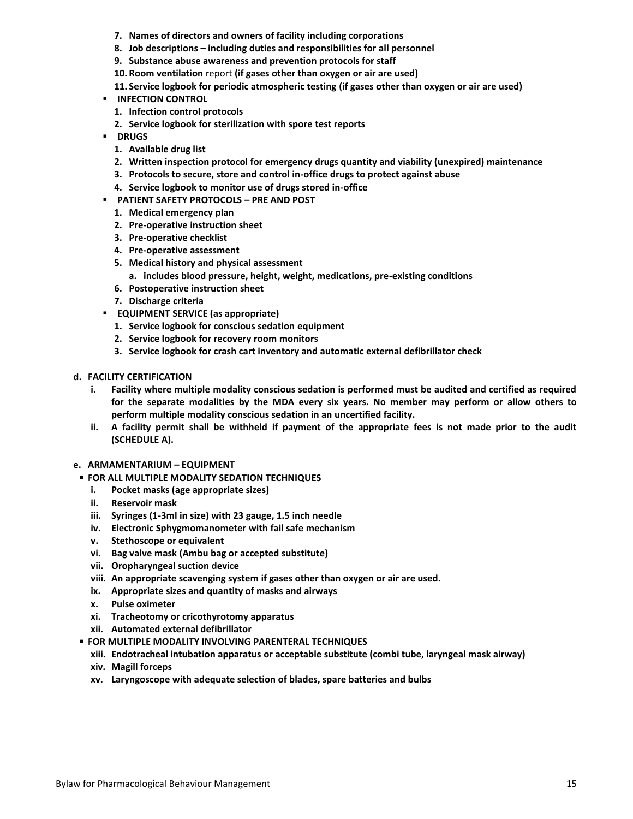- **7. Names of directors and owners of facility including corporations**
- **8. Job descriptions – including duties and responsibilities for all personnel**
- **9. Substance abuse awareness and prevention protocols for staff**
- **10. Room ventilation** report **(if gases other than oxygen or air are used)**
- **11. Service logbook for periodic atmospheric testing (if gases other than oxygen or air are used)**
- **INFECTION CONTROL** 
	- **1. Infection control protocols**
	- **2. Service logbook for sterilization with spore test reports**
- **DRUGS**
	- **1. Available drug list**
	- **2. Written inspection protocol for emergency drugs quantity and viability (unexpired) maintenance**
	- **3. Protocols to secure, store and control in-office drugs to protect against abuse**
	- **4. Service logbook to monitor use of drugs stored in-office**
- **PATIENT SAFETY PROTOCOLS – PRE AND POST**
	- **1. Medical emergency plan**
	- **2. Pre-operative instruction sheet**
	- **3. Pre-operative checklist**
	- **4. Pre-operative assessment**
	- **5. Medical history and physical assessment**
		- **a. includes blood pressure, height, weight, medications, pre-existing conditions**
	- **6. Postoperative instruction sheet**
	- **7. Discharge criteria**
- **EQUIPMENT SERVICE (as appropriate)**
	- **1. Service logbook for conscious sedation equipment**
	- **2. Service logbook for recovery room monitors**
	- **3. Service logbook for crash cart inventory and automatic external defibrillator check**
- **d. FACILITY CERTIFICATION**
	- **i. Facility where multiple modality conscious sedation is performed must be audited and certified as required for the separate modalities by the MDA every six years. No member may perform or allow others to perform multiple modality conscious sedation in an uncertified facility.**
	- **ii. A facility permit shall be withheld if payment of the appropriate fees is not made prior to the audit (SCHEDULE A).**
- **e. ARMAMENTARIUM – EQUIPMENT**
- **FOR ALL MULTIPLE MODALITY SEDATION TECHNIQUES** 
	- **i. Pocket masks (age appropriate sizes)**
	- **ii. Reservoir mask**
	- **iii. Syringes (1-3ml in size) with 23 gauge, 1.5 inch needle**
	- **iv. Electronic Sphygmomanometer with fail safe mechanism**
	- **v. Stethoscope or equivalent**
	- **vi. Bag valve mask (Ambu bag or accepted substitute)**
	- **vii. Oropharyngeal suction device**
	- **viii. An appropriate scavenging system if gases other than oxygen or air are used.**
	- **ix. Appropriate sizes and quantity of masks and airways**
	- **x. Pulse oximeter**
	- **xi. Tracheotomy or cricothyrotomy apparatus**
	- **xii. Automated external defibrillator**
- **FOR MULTIPLE MODALITY INVOLVING PARENTERAL TECHNIQUES**
	- **xiii. Endotracheal intubation apparatus or acceptable substitute (combi tube, laryngeal mask airway)**
	- **xiv. Magill forceps**
	- **xv. Laryngoscope with adequate selection of blades, spare batteries and bulbs**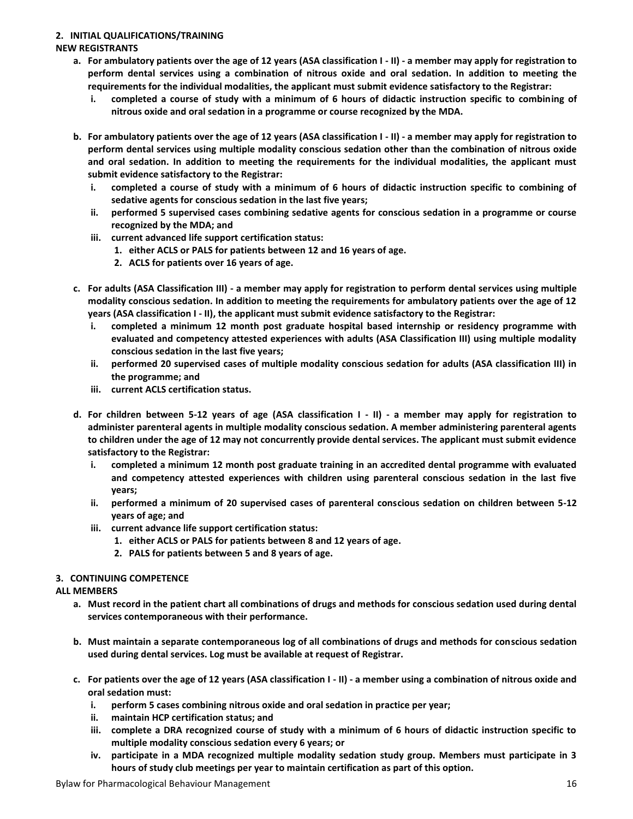# **2. INITIAL QUALIFICATIONS/TRAINING**

# **NEW REGISTRANTS**

- **a. For ambulatory patients over the age of 12 years (ASA classification I - II) - a member may apply for registration to perform dental services using a combination of nitrous oxide and oral sedation. In addition to meeting the requirements for the individual modalities, the applicant must submit evidence satisfactory to the Registrar:**
	- **i. completed a course of study with a minimum of 6 hours of didactic instruction specific to combining of nitrous oxide and oral sedation in a programme or course recognized by the MDA.**
- **b. For ambulatory patients over the age of 12 years (ASA classification I - II) - a member may apply for registration to perform dental services using multiple modality conscious sedation other than the combination of nitrous oxide and oral sedation. In addition to meeting the requirements for the individual modalities, the applicant must submit evidence satisfactory to the Registrar:**
	- **i. completed a course of study with a minimum of 6 hours of didactic instruction specific to combining of sedative agents for conscious sedation in the last five years;**
	- **ii. performed 5 supervised cases combining sedative agents for conscious sedation in a programme or course recognized by the MDA; and**
	- **iii. current advanced life support certification status:**
		- **1. either ACLS or PALS for patients between 12 and 16 years of age.**
		- **2. ACLS for patients over 16 years of age.**
- **c. For adults (ASA Classification III) - a member may apply for registration to perform dental services using multiple modality conscious sedation. In addition to meeting the requirements for ambulatory patients over the age of 12 years (ASA classification I - II), the applicant must submit evidence satisfactory to the Registrar:**
	- **i. completed a minimum 12 month post graduate hospital based internship or residency programme with evaluated and competency attested experiences with adults (ASA Classification III) using multiple modality conscious sedation in the last five years;**
	- **ii. performed 20 supervised cases of multiple modality conscious sedation for adults (ASA classification III) in the programme; and**
	- **iii. current ACLS certification status.**
- **d. For children between 5-12 years of age (ASA classification I - II) - a member may apply for registration to administer parenteral agents in multiple modality conscious sedation. A member administering parenteral agents to children under the age of 12 may not concurrently provide dental services. The applicant must submit evidence satisfactory to the Registrar:**
	- **i. completed a minimum 12 month post graduate training in an accredited dental programme with evaluated and competency attested experiences with children using parenteral conscious sedation in the last five years;**
	- **ii. performed a minimum of 20 supervised cases of parenteral conscious sedation on children between 5-12 years of age; and**
	- **iii. current advance life support certification status:**
		- **1. either ACLS or PALS for patients between 8 and 12 years of age.**
		- **2. PALS for patients between 5 and 8 years of age.**

## **3. CONTINUING COMPETENCE**

## **ALL MEMBERS**

- **a. Must record in the patient chart all combinations of drugs and methods for conscious sedation used during dental services contemporaneous with their performance.**
- **b. Must maintain a separate contemporaneous log of all combinations of drugs and methods for conscious sedation used during dental services. Log must be available at request of Registrar.**
- **c. For patients over the age of 12 years (ASA classification I - II) - a member using a combination of nitrous oxide and oral sedation must:**
	- **i. perform 5 cases combining nitrous oxide and oral sedation in practice per year;**
	- **ii. maintain HCP certification status; and**
	- **iii. complete a DRA recognized course of study with a minimum of 6 hours of didactic instruction specific to multiple modality conscious sedation every 6 years; or**
	- **iv. participate in a MDA recognized multiple modality sedation study group. Members must participate in 3 hours of study club meetings per year to maintain certification as part of this option.**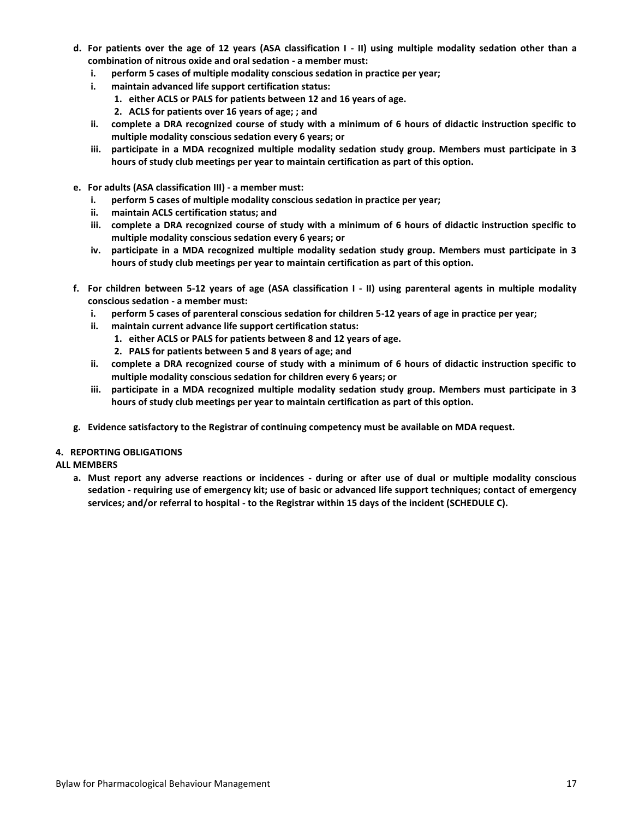- **d. For patients over the age of 12 years (ASA classification I - II) using multiple modality sedation other than a combination of nitrous oxide and oral sedation - a member must:**
	- **i. perform 5 cases of multiple modality conscious sedation in practice per year;**
	- **i. maintain advanced life support certification status:**
		- **1. either ACLS or PALS for patients between 12 and 16 years of age.**
		- **2. ACLS for patients over 16 years of age; ; and**
	- **ii. complete a DRA recognized course of study with a minimum of 6 hours of didactic instruction specific to multiple modality conscious sedation every 6 years; or**
	- **iii. participate in a MDA recognized multiple modality sedation study group. Members must participate in 3 hours of study club meetings per year to maintain certification as part of this option.**
- **e. For adults (ASA classification III) - a member must:**
	- **i. perform 5 cases of multiple modality conscious sedation in practice per year;**
	- **ii. maintain ACLS certification status; and**
	- **iii. complete a DRA recognized course of study with a minimum of 6 hours of didactic instruction specific to multiple modality conscious sedation every 6 years; or**
	- **iv. participate in a MDA recognized multiple modality sedation study group. Members must participate in 3 hours of study club meetings per year to maintain certification as part of this option.**
- **f. For children between 5-12 years of age (ASA classification I - II) using parenteral agents in multiple modality conscious sedation - a member must:**
	- **i. perform 5 cases of parenteral conscious sedation for children 5-12 years of age in practice per year;**
	- **ii. maintain current advance life support certification status:**
		- **1. either ACLS or PALS for patients between 8 and 12 years of age.**
			- **2. PALS for patients between 5 and 8 years of age; and**
	- **ii. complete a DRA recognized course of study with a minimum of 6 hours of didactic instruction specific to multiple modality conscious sedation for children every 6 years; or**
	- **iii. participate in a MDA recognized multiple modality sedation study group. Members must participate in 3 hours of study club meetings per year to maintain certification as part of this option.**
- **g. Evidence satisfactory to the Registrar of continuing competency must be available on MDA request.**

#### **4. REPORTING OBLIGATIONS**

#### **ALL MEMBERS**

**a. Must report any adverse reactions or incidences - during or after use of dual or multiple modality conscious sedation - requiring use of emergency kit; use of basic or advanced life support techniques; contact of emergency services; and/or referral to hospital - to the Registrar within 15 days of the incident (SCHEDULE C).**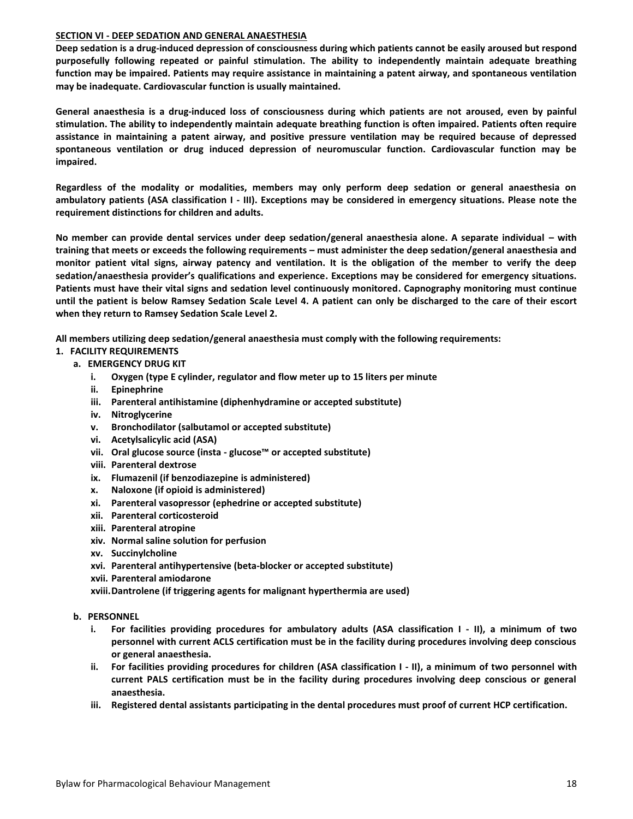#### **SECTION VI - DEEP SEDATION AND GENERAL ANAESTHESIA**

**Deep sedation is a drug-induced depression of consciousness during which patients cannot be easily aroused but respond purposefully following repeated or painful stimulation. The ability to independently maintain adequate breathing function may be impaired. Patients may require assistance in maintaining a patent airway, and spontaneous ventilation may be inadequate. Cardiovascular function is usually maintained.**

**General anaesthesia is a drug-induced loss of consciousness during which patients are not aroused, even by painful stimulation. The ability to independently maintain adequate breathing function is often impaired. Patients often require assistance in maintaining a patent airway, and positive pressure ventilation may be required because of depressed spontaneous ventilation or drug induced depression of neuromuscular function. Cardiovascular function may be impaired.**

**Regardless of the modality or modalities, members may only perform deep sedation or general anaesthesia on ambulatory patients (ASA classification I - III). Exceptions may be considered in emergency situations. Please note the requirement distinctions for children and adults.**

**No member can provide dental services under deep sedation/general anaesthesia alone. A separate individual – with training that meets or exceeds the following requirements – must administer the deep sedation/general anaesthesia and monitor patient vital signs, airway patency and ventilation. It is the obligation of the member to verify the deep sedation/anaesthesia provider's qualifications and experience. Exceptions may be considered for emergency situations. Patients must have their vital signs and sedation level continuously monitored. Capnography monitoring must continue until the patient is below Ramsey Sedation Scale Level 4. A patient can only be discharged to the care of their escort when they return to Ramsey Sedation Scale Level 2.**

**All members utilizing deep sedation/general anaesthesia must comply with the following requirements:**

- **1. FACILITY REQUIREMENTS**
	- **a. EMERGENCY DRUG KIT**
		- **i. Oxygen (type E cylinder, regulator and flow meter up to 15 liters per minute**
		- **ii. Epinephrine**
		- **iii. Parenteral antihistamine (diphenhydramine or accepted substitute)**
		- **iv. Nitroglycerine**
		- **v. Bronchodilator (salbutamol or accepted substitute)**
		- **vi. Acetylsalicylic acid (ASA)**
		- **vii. Oral glucose source (insta - glucose™ or accepted substitute)**
		- **viii. Parenteral dextrose**
		- **ix. Flumazenil (if benzodiazepine is administered)**
		- **x. Naloxone (if opioid is administered)**
		- **xi. Parenteral vasopressor (ephedrine or accepted substitute)**
		- **xii. Parenteral corticosteroid**
		- **xiii. Parenteral atropine**
		- **xiv. Normal saline solution for perfusion**
		- **xv. Succinylcholine**
		- **xvi. Parenteral antihypertensive (beta-blocker or accepted substitute)**
		- **xvii. Parenteral amiodarone**
		- **xviii.Dantrolene (if triggering agents for malignant hyperthermia are used)**
	- **b. PERSONNEL**
		- **i. For facilities providing procedures for ambulatory adults (ASA classification I - II), a minimum of two personnel with current ACLS certification must be in the facility during procedures involving deep conscious or general anaesthesia.**
		- **ii. For facilities providing procedures for children (ASA classification I - II), a minimum of two personnel with current PALS certification must be in the facility during procedures involving deep conscious or general anaesthesia.**
		- **iii. Registered dental assistants participating in the dental procedures must proof of current HCP certification.**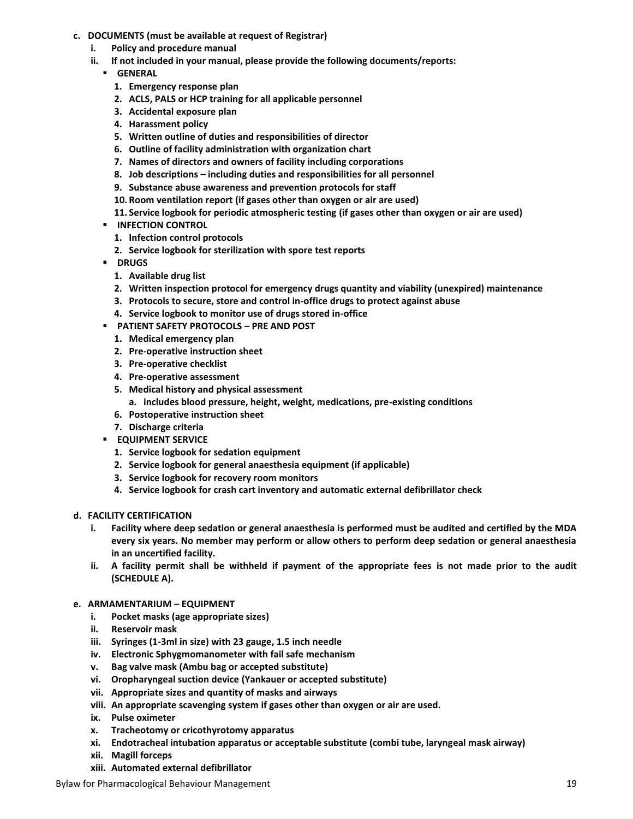- **c. DOCUMENTS (must be available at request of Registrar)**
	- **i. Policy and procedure manual**
	- **ii. If not included in your manual, please provide the following documents/reports:**
		- **GENERAL**
			- **1. Emergency response plan**
			- **2. ACLS, PALS or HCP training for all applicable personnel**
			- **3. Accidental exposure plan**
			- **4. Harassment policy**
			- **5. Written outline of duties and responsibilities of director**
			- **6. Outline of facility administration with organization chart**
			- **7. Names of directors and owners of facility including corporations**
			- **8. Job descriptions – including duties and responsibilities for all personnel**
			- **9. Substance abuse awareness and prevention protocols for staff**
			- **10. Room ventilation report (if gases other than oxygen or air are used)**
			- **11. Service logbook for periodic atmospheric testing (if gases other than oxygen or air are used)**
		- **INFECTION CONTROL** 
			- **1. Infection control protocols**
			- **2. Service logbook for sterilization with spore test reports**
		- **DRUGS** 
			- **1. Available drug list**
			- **2. Written inspection protocol for emergency drugs quantity and viability (unexpired) maintenance**
			- **3. Protocols to secure, store and control in-office drugs to protect against abuse**
			- **4. Service logbook to monitor use of drugs stored in-office**
		- **PATIENT SAFETY PROTOCOLS – PRE AND POST**
			- **1. Medical emergency plan**
			- **2. Pre-operative instruction sheet**
			- **3. Pre-operative checklist**
			- **4. Pre-operative assessment**
			- **5. Medical history and physical assessment**
				- **a. includes blood pressure, height, weight, medications, pre-existing conditions**
			- **6. Postoperative instruction sheet**
			- **7. Discharge criteria**
		- **EQUIPMENT SERVICE** 
			- **1. Service logbook for sedation equipment**
			- **2. Service logbook for general anaesthesia equipment (if applicable)**
			- **3. Service logbook for recovery room monitors**
			- **4. Service logbook for crash cart inventory and automatic external defibrillator check**

#### **d. FACILITY CERTIFICATION**

- **i. Facility where deep sedation or general anaesthesia is performed must be audited and certified by the MDA every six years. No member may perform or allow others to perform deep sedation or general anaesthesia in an uncertified facility.**
- **ii. A facility permit shall be withheld if payment of the appropriate fees is not made prior to the audit (SCHEDULE A).**

#### **e. ARMAMENTARIUM – EQUIPMENT**

- **i. Pocket masks (age appropriate sizes)**
- **ii. Reservoir mask**
- **iii. Syringes (1-3ml in size) with 23 gauge, 1.5 inch needle**
- **iv. Electronic Sphygmomanometer with fail safe mechanism**
- **v. Bag valve mask (Ambu bag or accepted substitute)**
- **vi. Oropharyngeal suction device (Yankauer or accepted substitute)**
- **vii. Appropriate sizes and quantity of masks and airways**
- **viii. An appropriate scavenging system if gases other than oxygen or air are used.**
- **ix. Pulse oximeter**
- **x. Tracheotomy or cricothyrotomy apparatus**
- **xi. Endotracheal intubation apparatus or acceptable substitute (combi tube, laryngeal mask airway)**
- **xii. Magill forceps**
- **xiii. Automated external defibrillator**

Bylaw for Pharmacological Behaviour Management 19 and 19 and 19 and 19 and 19 and 19 and 19 and 19 and 19 and 19 and 19 and 19 and 19 and 19 and 19 and 19 and 19 and 19 and 19 and 19 and 19 and 19 and 19 and 19 and 19 and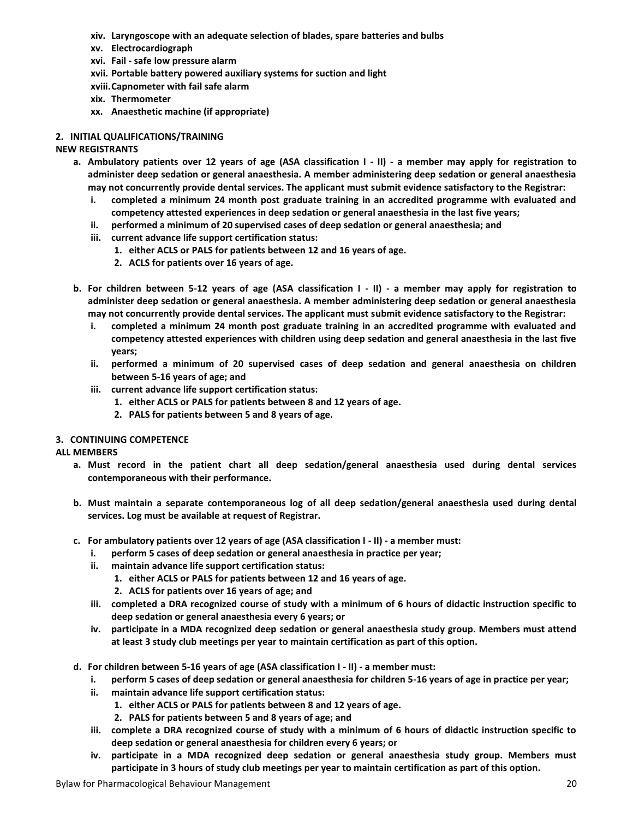- **xiv. Laryngoscope with an adequate selection of blades, spare batteries and bulbs**
- **xv. Electrocardiograph**
- **xvi. Fail - safe low pressure alarm**
- **xvii. Portable battery powered auxiliary systems for suction and light**
- **xviii.Capnometer with fail safe alarm**
- **xix. Thermometer**
- **xx. Anaesthetic machine (if appropriate)**

# **2. INITIAL QUALIFICATIONS/TRAINING**

# **NEW REGISTRANTS**

- **a. Ambulatory patients over 12 years of age (ASA classification I - II) - a member may apply for registration to administer deep sedation or general anaesthesia. A member administering deep sedation or general anaesthesia may not concurrently provide dental services. The applicant must submit evidence satisfactory to the Registrar:**
	- **i. completed a minimum 24 month post graduate training in an accredited programme with evaluated and competency attested experiences in deep sedation or general anaesthesia in the last five years;**
	- **ii. performed a minimum of 20 supervised cases of deep sedation or general anaesthesia; and**
	- **iii. current advance life support certification status:**
		- **1. either ACLS or PALS for patients between 12 and 16 years of age.**
		- **2. ACLS for patients over 16 years of age.**
- **b. For children between 5-12 years of age (ASA classification I - II) - a member may apply for registration to administer deep sedation or general anaesthesia. A member administering deep sedation or general anaesthesia may not concurrently provide dental services. The applicant must submit evidence satisfactory to the Registrar:**
	- **i. completed a minimum 24 month post graduate training in an accredited programme with evaluated and competency attested experiences with children using deep sedation and general anaesthesia in the last five years;**
	- **ii. performed a minimum of 20 supervised cases of deep sedation and general anaesthesia on children between 5-16 years of age; and**
	- **iii. current advance life support certification status:**
		- **1. either ACLS or PALS for patients between 8 and 12 years of age.**
		- **2. PALS for patients between 5 and 8 years of age.**

# **3. CONTINUING COMPETENCE**

# **ALL MEMBERS**

- **a. Must record in the patient chart all deep sedation/general anaesthesia used during dental services contemporaneous with their performance.**
- **b. Must maintain a separate contemporaneous log of all deep sedation/general anaesthesia used during dental services. Log must be available at request of Registrar.**
- **c. For ambulatory patients over 12 years of age (ASA classification I - II) - a member must:** 
	- **i. perform 5 cases of deep sedation or general anaesthesia in practice per year;**
	- **ii. maintain advance life support certification status:**
		- **1. either ACLS or PALS for patients between 12 and 16 years of age.**
		- **2. ACLS for patients over 16 years of age; and**
	- **iii. completed a DRA recognized course of study with a minimum of 6 hours of didactic instruction specific to deep sedation or general anaesthesia every 6 years; or**
	- **iv. participate in a MDA recognized deep sedation or general anaesthesia study group. Members must attend at least 3 study club meetings per year to maintain certification as part of this option.**
- **d. For children between 5-16 years of age (ASA classification I - II) - a member must:**
	- **i. perform 5 cases of deep sedation or general anaesthesia for children 5-16 years of age in practice per year;**
	- **ii. maintain advance life support certification status:**
		- **1. either ACLS or PALS for patients between 8 and 12 years of age.**
		- **2. PALS for patients between 5 and 8 years of age; and**
	- **iii. complete a DRA recognized course of study with a minimum of 6 hours of didactic instruction specific to deep sedation or general anaesthesia for children every 6 years; or**
	- **iv. participate in a MDA recognized deep sedation or general anaesthesia study group. Members must participate in 3 hours of study club meetings per year to maintain certification as part of this option.**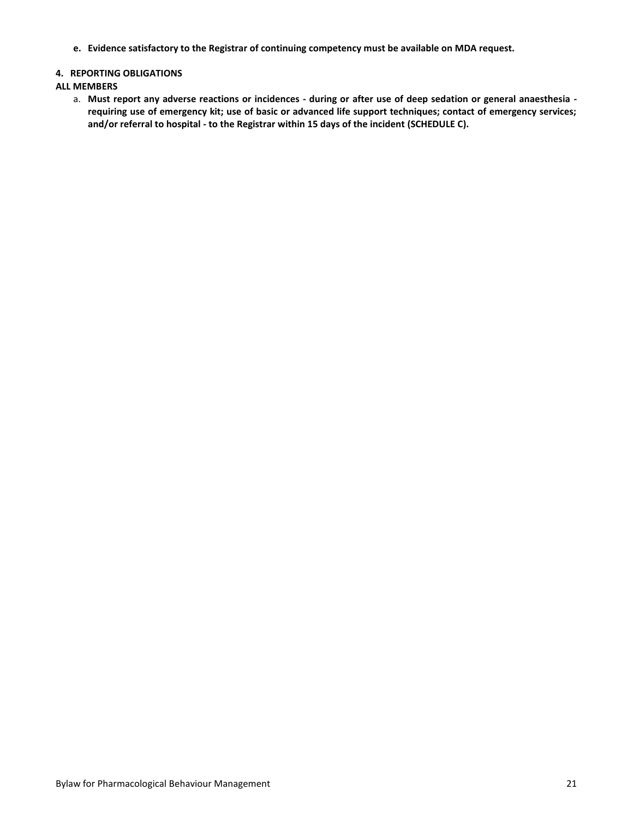**e. Evidence satisfactory to the Registrar of continuing competency must be available on MDA request.**

## **4. REPORTING OBLIGATIONS**

#### **ALL MEMBERS**

a. **Must report any adverse reactions or incidences - during or after use of deep sedation or general anaesthesia requiring use of emergency kit; use of basic or advanced life support techniques; contact of emergency services; and/or referral to hospital - to the Registrar within 15 days of the incident (SCHEDULE C).**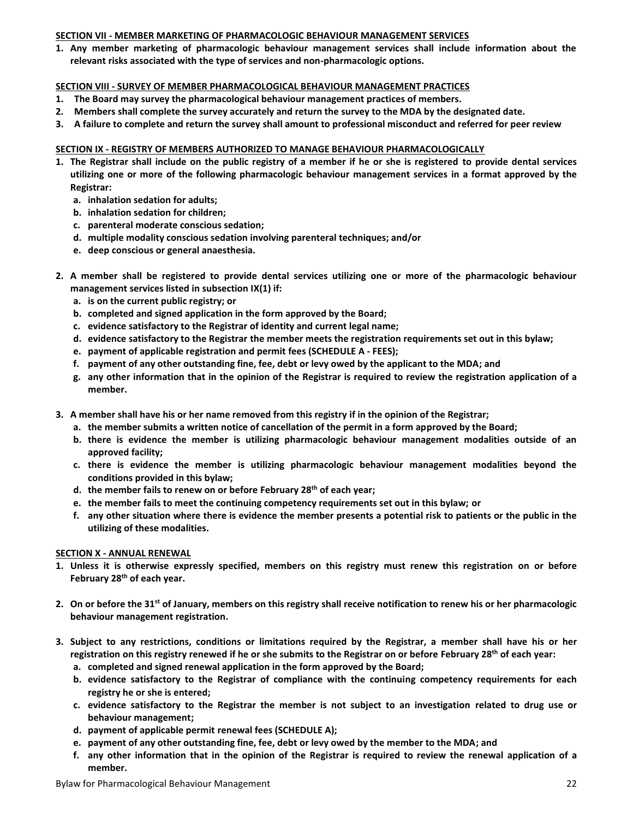# **SECTION VII - MEMBER MARKETING OF PHARMACOLOGIC BEHAVIOUR MANAGEMENT SERVICES**

**1. Any member marketing of pharmacologic behaviour management services shall include information about the relevant risks associated with the type of services and non-pharmacologic options.**

# **SECTION VIII - SURVEY OF MEMBER PHARMACOLOGICAL BEHAVIOUR MANAGEMENT PRACTICES**

- **1. The Board may survey the pharmacological behaviour management practices of members.**
- **2. Members shall complete the survey accurately and return the survey to the MDA by the designated date.**
- **3. A failure to complete and return the survey shall amount to professional misconduct and referred for peer review**

# **SECTION IX - REGISTRY OF MEMBERS AUTHORIZED TO MANAGE BEHAVIOUR PHARMACOLOGICALLY**

- **1. The Registrar shall include on the public registry of a member if he or she is registered to provide dental services utilizing one or more of the following pharmacologic behaviour management services in a format approved by the Registrar:**
	- **a. inhalation sedation for adults;**
	- **b. inhalation sedation for children;**
	- **c. parenteral moderate conscious sedation;**
	- **d. multiple modality conscious sedation involving parenteral techniques; and/or**
	- **e. deep conscious or general anaesthesia.**
- **2. A member shall be registered to provide dental services utilizing one or more of the pharmacologic behaviour management services listed in subsection IX(1) if:**
	- **a. is on the current public registry; or**
	- **b. completed and signed application in the form approved by the Board;**
	- **c. evidence satisfactory to the Registrar of identity and current legal name;**
	- **d. evidence satisfactory to the Registrar the member meets the registration requirements set out in this bylaw;**
	- **e. payment of applicable registration and permit fees (SCHEDULE A - FEES);**
	- **f. payment of any other outstanding fine, fee, debt or levy owed by the applicant to the MDA; and**
	- **g. any other information that in the opinion of the Registrar is required to review the registration application of a member.**
- **3. A member shall have his or her name removed from this registry if in the opinion of the Registrar;**
	- **a. the member submits a written notice of cancellation of the permit in a form approved by the Board;**
	- **b. there is evidence the member is utilizing pharmacologic behaviour management modalities outside of an approved facility;**
	- **c. there is evidence the member is utilizing pharmacologic behaviour management modalities beyond the conditions provided in this bylaw;**
	- **d. the member fails to renew on or before February 28th of each year;**
	- **e. the member fails to meet the continuing competency requirements set out in this bylaw; or**
	- **f. any other situation where there is evidence the member presents a potential risk to patients or the public in the utilizing of these modalities.**

## **SECTION X - ANNUAL RENEWAL**

- **1. Unless it is otherwise expressly specified, members on this registry must renew this registration on or before February 28th of each year.**
- **2. On or before the 31st of January, members on this registry shall receive notification to renew his or her pharmacologic behaviour management registration.**
- **3. Subject to any restrictions, conditions or limitations required by the Registrar, a member shall have his or her registration on this registry renewed if he or she submits to the Registrar on or before February 28th of each year:**
	- **a. completed and signed renewal application in the form approved by the Board;**
	- **b. evidence satisfactory to the Registrar of compliance with the continuing competency requirements for each registry he or she is entered;**
	- **c. evidence satisfactory to the Registrar the member is not subject to an investigation related to drug use or behaviour management;**
	- **d. payment of applicable permit renewal fees (SCHEDULE A);**
	- **e. payment of any other outstanding fine, fee, debt or levy owed by the member to the MDA; and**
	- **f. any other information that in the opinion of the Registrar is required to review the renewal application of a member.**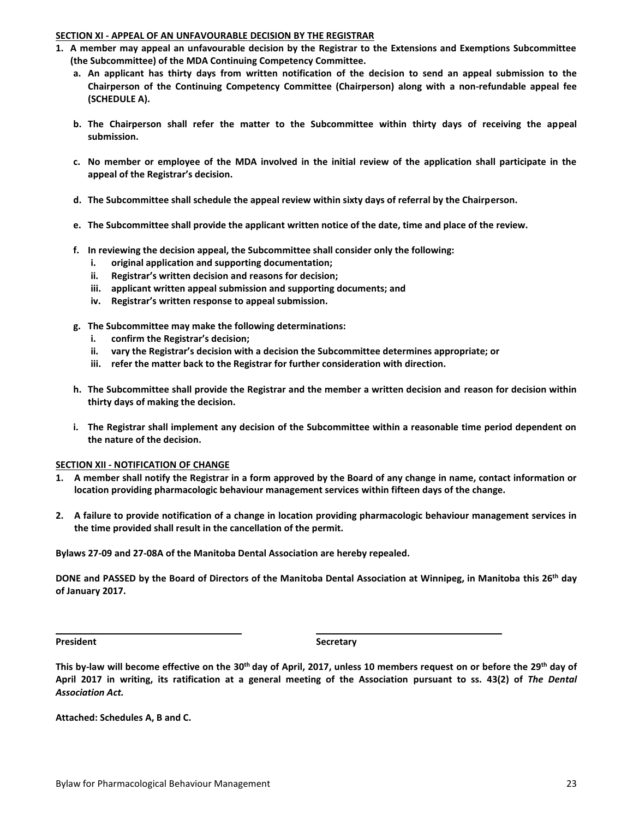#### **SECTION XI - APPEAL OF AN UNFAVOURABLE DECISION BY THE REGISTRAR**

- **1. A member may appeal an unfavourable decision by the Registrar to the Extensions and Exemptions Subcommittee (the Subcommittee) of the MDA Continuing Competency Committee.**
	- **a. An applicant has thirty days from written notification of the decision to send an appeal submission to the Chairperson of the Continuing Competency Committee (Chairperson) along with a non-refundable appeal fee (SCHEDULE A).**
	- **b. The Chairperson shall refer the matter to the Subcommittee within thirty days of receiving the appeal submission.**
	- **c. No member or employee of the MDA involved in the initial review of the application shall participate in the appeal of the Registrar's decision.**
	- **d. The Subcommittee shall schedule the appeal review within sixty days of referral by the Chairperson.**
	- **e. The Subcommittee shall provide the applicant written notice of the date, time and place of the review.**
	- **f. In reviewing the decision appeal, the Subcommittee shall consider only the following:**
		- **i. original application and supporting documentation;**
		- **ii. Registrar's written decision and reasons for decision;**
		- **iii. applicant written appeal submission and supporting documents; and**
		- **iv. Registrar's written response to appeal submission.**
	- **g. The Subcommittee may make the following determinations:**
		- **i. confirm the Registrar's decision;**
		- **ii. vary the Registrar's decision with a decision the Subcommittee determines appropriate; or**
		- **iii. refer the matter back to the Registrar for further consideration with direction.**
	- **h. The Subcommittee shall provide the Registrar and the member a written decision and reason for decision within thirty days of making the decision.**
	- **i. The Registrar shall implement any decision of the Subcommittee within a reasonable time period dependent on the nature of the decision.**

#### **SECTION XII - NOTIFICATION OF CHANGE**

- **1. A member shall notify the Registrar in a form approved by the Board of any change in name, contact information or location providing pharmacologic behaviour management services within fifteen days of the change.**
- **2. A failure to provide notification of a change in location providing pharmacologic behaviour management services in the time provided shall result in the cancellation of the permit.**

**Bylaws 27-09 and 27-08A of the Manitoba Dental Association are hereby repealed.** 

**DONE and PASSED by the Board of Directors of the Manitoba Dental Association at Winnipeg, in Manitoba this 26th day of January 2017.**

**President Secretary** 

**This by-law will become effective on the 30th day of April, 2017, unless 10 members request on or before the 29th day of April 2017 in writing, its ratification at a general meeting of the Association pursuant to ss. 43(2) of** *The Dental Association Act.* 

**Attached: Schedules A, B and C.**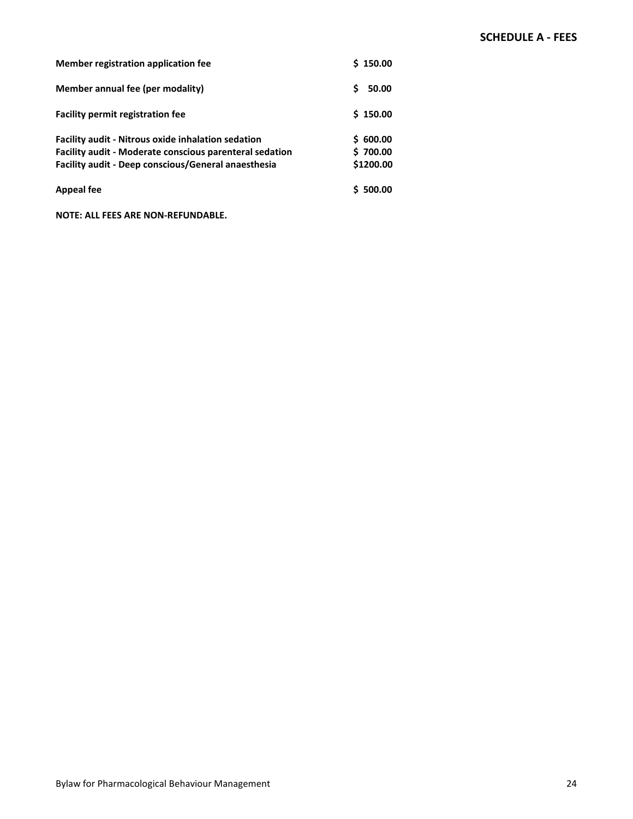| Member registration application fee                                                                                                                                         | \$150.00                          |
|-----------------------------------------------------------------------------------------------------------------------------------------------------------------------------|-----------------------------------|
| Member annual fee (per modality)                                                                                                                                            | Ś<br>50.00                        |
| <b>Facility permit registration fee</b>                                                                                                                                     | \$150.00                          |
| <b>Facility audit - Nitrous oxide inhalation sedation</b><br>Facility audit - Moderate conscious parenteral sedation<br>Facility audit - Deep conscious/General anaesthesia | \$600.00<br>\$700.00<br>\$1200.00 |
| <b>Appeal fee</b>                                                                                                                                                           | \$500.00                          |

**NOTE: ALL FEES ARE NON-REFUNDABLE.**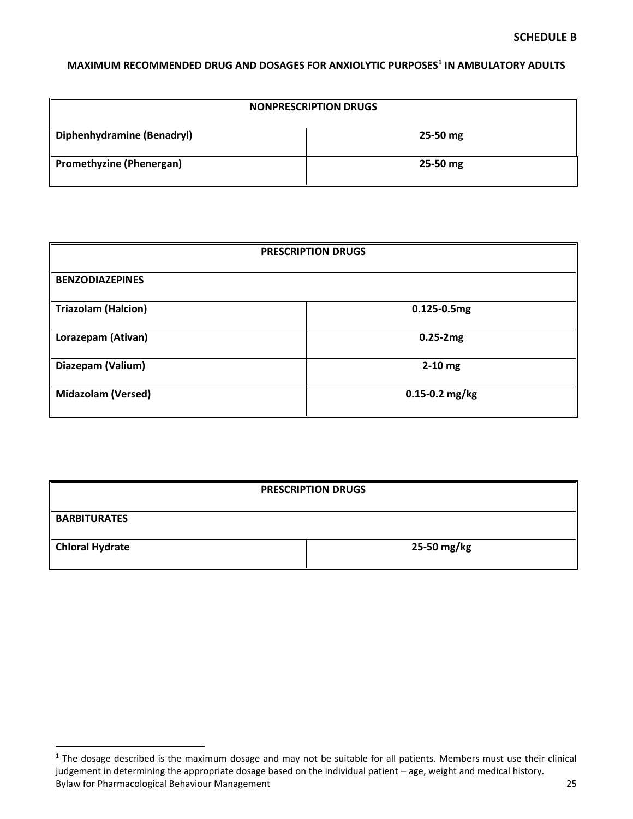# **MAXIMUM RECOMMENDED DRUG AND DOSAGES FOR ANXIOLYTIC PURPOSES<sup>1</sup> IN AMBULATORY ADULTS**

| <b>NONPRESCRIPTION DRUGS</b> |              |  |  |
|------------------------------|--------------|--|--|
| Diphenhydramine (Benadryl)   | $25 - 50$ mg |  |  |
| Promethyzine (Phenergan)     | 25-50 mg     |  |  |

| <b>PRESCRIPTION DRUGS</b>  |                    |  |  |
|----------------------------|--------------------|--|--|
| <b>BENZODIAZEPINES</b>     |                    |  |  |
| <b>Triazolam (Halcion)</b> | $0.125 - 0.5mg$    |  |  |
| Lorazepam (Ativan)         | $0.25 - 2mg$       |  |  |
| Diazepam (Valium)          | $2-10$ mg          |  |  |
| <b>Midazolam (Versed)</b>  | $0.15 - 0.2$ mg/kg |  |  |

| <b>PRESCRIPTION DRUGS</b> |             |  |  |  |
|---------------------------|-------------|--|--|--|
| <b>BARBITURATES</b>       |             |  |  |  |
| Chloral Hydrate           | 25-50 mg/kg |  |  |  |

 $\overline{a}$ 

Bylaw for Pharmacological Behaviour Management 25 <sup>1</sup> The dosage described is the maximum dosage and may not be suitable for all patients. Members must use their clinical judgement in determining the appropriate dosage based on the individual patient – age, weight and medical history.